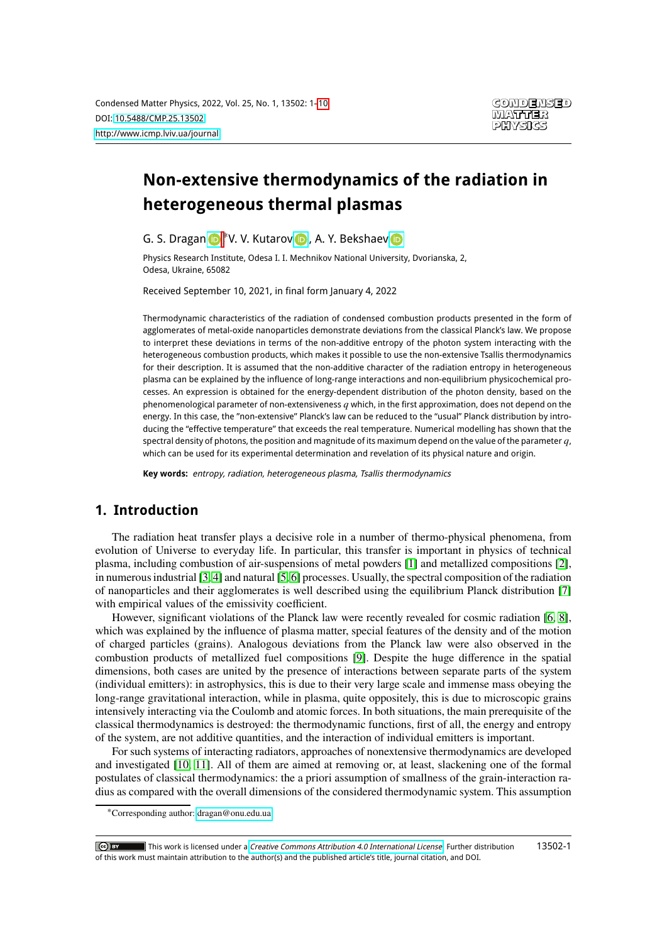# **Non-extensive thermodynamics of the radiation in heterogeneous thermal plasmas**

G. S. Dragan (D<sup>\*</sup>, V. V. Kutarov (D), A. Y. Bekshaev

Physics Research Institute, Odesa I. I. Mechnikov National University, Dvorianska, 2, Odesa, Ukraine, 65082

Received September 10, 2021, in final form January 4, 2022

Thermodynamic characteristics of the radiation of condensed combustion products presented in the form of agglomerates of metal-oxide nanoparticles demonstrate deviations from the classical Planck's law. We propose to interpret these deviations in terms of the non-additive entropy of the photon system interacting with the heterogeneous combustion products, which makes it possible to use the non-extensive Tsallis thermodynamics for their description. It is assumed that the non-additive character of the radiation entropy in heterogeneous plasma can be explained by the influence of long-range interactions and non-equilibrium physicochemical processes. An expression is obtained for the energy-dependent distribution of the photon density, based on the phenomenological parameter of non-extensiveness  $q$  which, in the first approximation, does not depend on the energy. In this case, the "non-extensive" Planck's law can be reduced to the "usual" Planck distribution by introducing the "effective temperature" that exceeds the real temperature. Numerical modelling has shown that the spectral density of photons, the position and magnitude of its maximum depend on the value of the parameter  $q$ , which can be used for its experimental determination and revelation of its physical nature and origin.

**Key words:** entropy, radiation, heterogeneous plasma, Tsallis thermodynamics

## <span id="page-0-0"></span>**1. Introduction**

The radiation heat transfer plays a decisive role in a number of thermo-physical phenomena, from evolution of Universe to everyday life. In particular, this transfer is important in physics of technical plasma, including combustion of air-suspensions of metal powders [\[1\]](#page-8-1) and metallized compositions [\[2\]](#page-8-2), in numerous industrial [\[3,](#page-8-3) [4\]](#page-8-4) and natural [\[5,](#page-8-5) [6\]](#page-8-6) processes. Usually, the spectral composition of the radiation of nanoparticles and their agglomerates is well described using the equilibrium Planck distribution [\[7\]](#page-8-7) with empirical values of the emissivity coefficient.

However, significant violations of the Planck law were recently revealed for cosmic radiation [\[6,](#page-8-6) [8\]](#page-8-8), which was explained by the influence of plasma matter, special features of the density and of the motion of charged particles (grains). Analogous deviations from the Planck law were also observed in the combustion products of metallized fuel compositions [\[9\]](#page-8-9). Despite the huge difference in the spatial dimensions, both cases are united by the presence of interactions between separate parts of the system (individual emitters): in astrophysics, this is due to their very large scale and immense mass obeying the long-range gravitational interaction, while in plasma, quite oppositely, this is due to microscopic grains intensively interacting via the Coulomb and atomic forces. In both situations, the main prerequisite of the classical thermodynamics is destroyed: the thermodynamic functions, first of all, the energy and entropy of the system, are not additive quantities, and the interaction of individual emitters is important.

For such systems of interacting radiators, approaches of nonextensive thermodynamics are developed and investigated [\[10,](#page-8-10) [11\]](#page-8-11). All of them are aimed at removing or, at least, slackening one of the formal postulates of classical thermodynamics: the a priori assumption of smallness of the grain-interaction radius as compared with the overall dimensions of the considered thermodynamic system. This assumption

<sup>∗</sup>Corresponding author: [dragan@onu.edu.ua.](mailto:dragan@onu.edu.ua)

 $\lceil \mathbf{C} \mathbf{c} \rceil$  by  $\lceil \mathbf{C} \rceil$  This work is licensed under a *[Creative Commons Attribution 4.0 International License](https://creativecommons.org/licenses/by/4.0/).* Further distribution of this work must maintain attribution to the author(s) and the published article's title, journal citation, and DOI. 13502-1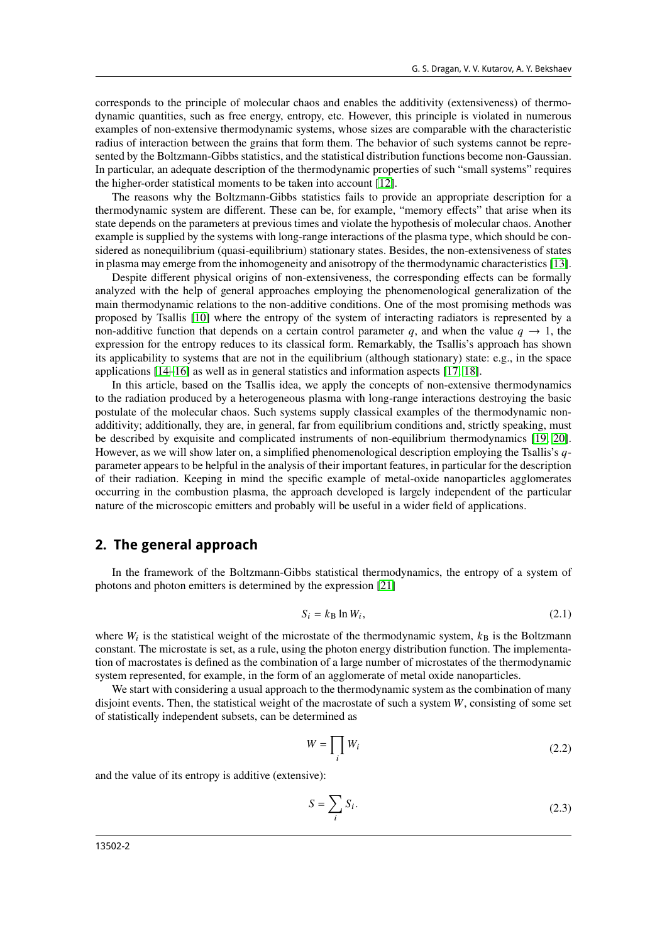corresponds to the principle of molecular chaos and enables the additivity (extensiveness) of thermodynamic quantities, such as free energy, entropy, etc. However, this principle is violated in numerous examples of non-extensive thermodynamic systems, whose sizes are comparable with the characteristic radius of interaction between the grains that form them. The behavior of such systems cannot be represented by the Boltzmann-Gibbs statistics, and the statistical distribution functions become non-Gaussian. In particular, an adequate description of the thermodynamic properties of such "small systems" requires the higher-order statistical moments to be taken into account [\[12\]](#page-8-12).

The reasons why the Boltzmann-Gibbs statistics fails to provide an appropriate description for a thermodynamic system are different. These can be, for example, "memory effects" that arise when its state depends on the parameters at previous times and violate the hypothesis of molecular chaos. Another example is supplied by the systems with long-range interactions of the plasma type, which should be considered as nonequilibrium (quasi-equilibrium) stationary states. Besides, the non-extensiveness of states in plasma may emerge from the inhomogeneity and anisotropy of the thermodynamic characteristics [\[13\]](#page-8-13).

Despite different physical origins of non-extensiveness, the corresponding effects can be formally analyzed with the help of general approaches employing the phenomenological generalization of the main thermodynamic relations to the non-additive conditions. One of the most promising methods was proposed by Tsallis [\[10\]](#page-8-10) where the entropy of the system of interacting radiators is represented by a non-additive function that depends on a certain control parameter q, and when the value  $q \to 1$ , the expression for the entropy reduces to its classical form. Remarkably, the Tsallis's approach has shown its applicability to systems that are not in the equilibrium (although stationary) state: e.g., in the space applications [\[14–](#page-9-0)[16\]](#page-9-1) as well as in general statistics and information aspects [\[17,](#page-9-2) [18\]](#page-9-3).

In this article, based on the Tsallis idea, we apply the concepts of non-extensive thermodynamics to the radiation produced by a heterogeneous plasma with long-range interactions destroying the basic postulate of the molecular chaos. Such systems supply classical examples of the thermodynamic nonadditivity; additionally, they are, in general, far from equilibrium conditions and, strictly speaking, must be described by exquisite and complicated instruments of non-equilibrium thermodynamics [\[19,](#page-9-4) [20\]](#page-9-5). However, as we will show later on, a simplified phenomenological description employing the Tsallis's  $q$ parameter appears to be helpful in the analysis of their important features, in particular for the description of their radiation. Keeping in mind the specific example of metal-oxide nanoparticles agglomerates occurring in the combustion plasma, the approach developed is largely independent of the particular nature of the microscopic emitters and probably will be useful in a wider field of applications.

### **2. The general approach**

In the framework of the Boltzmann-Gibbs statistical thermodynamics, the entropy of a system of photons and photon emitters is determined by the expression [\[21\]](#page-9-6)

$$
S_i = k_\text{B} \ln W_i,\tag{2.1}
$$

where  $W_i$  is the statistical weight of the microstate of the thermodynamic system,  $k_B$  is the Boltzmann constant. The microstate is set, as a rule, using the photon energy distribution function. The implementation of macrostates is defined as the combination of a large number of microstates of the thermodynamic system represented, for example, in the form of an agglomerate of metal oxide nanoparticles.

We start with considering a usual approach to the thermodynamic system as the combination of many disjoint events. Then, the statistical weight of the macrostate of such a system  $W$ , consisting of some set of statistically independent subsets, can be determined as

$$
W = \prod_i W_i \tag{2.2}
$$

and the value of its entropy is additive (extensive):

<span id="page-1-0"></span>
$$
S = \sum_{i} S_i. \tag{2.3}
$$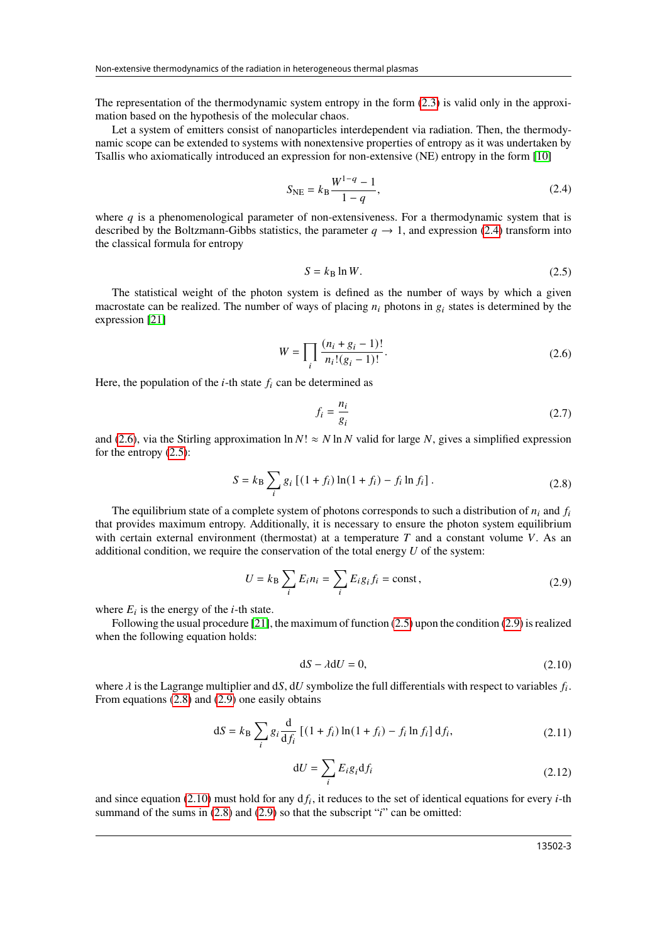The representation of the thermodynamic system entropy in the form [\(2.3\)](#page-1-0) is valid only in the approximation based on the hypothesis of the molecular chaos.

Let a system of emitters consist of nanoparticles interdependent via radiation. Then, the thermodynamic scope can be extended to systems with nonextensive properties of entropy as it was undertaken by Tsallis who axiomatically introduced an expression for non-extensive (NE) entropy in the form [\[10\]](#page-8-10)

<span id="page-2-0"></span>
$$
S_{\rm NE} = k_{\rm B} \frac{W^{1-q} - 1}{1-q},\tag{2.4}
$$

where  $q$  is a phenomenological parameter of non-extensiveness. For a thermodynamic system that is described by the Boltzmann-Gibbs statistics, the parameter  $q \rightarrow 1$ , and expression [\(2.4\)](#page-2-0) transform into the classical formula for entropy

<span id="page-2-2"></span>
$$
S = k_{\rm B} \ln W. \tag{2.5}
$$

The statistical weight of the photon system is defined as the number of ways by which a given macrostate can be realized. The number of ways of placing  $n_i$  photons in  $g_i$  states is determined by the expression [\[21\]](#page-9-6)

<span id="page-2-1"></span>
$$
W = \prod_{i} \frac{(n_i + g_i - 1)!}{n_i!(g_i - 1)!}.
$$
\n(2.6)

Here, the population of the  $i$ -th state  $f_i$  can be determined as

$$
f_i = \frac{n_i}{g_i} \tag{2.7}
$$

and [\(2.6\)](#page-2-1), via the Stirling approximation  $\ln N! \approx N \ln N$  valid for large N, gives a simplified expression for the entropy [\(2.5\)](#page-2-2):

<span id="page-2-4"></span>
$$
S = k_{\rm B} \sum_{i} g_i \left[ (1 + f_i) \ln(1 + f_i) - f_i \ln f_i \right].
$$
 (2.8)

The equilibrium state of a complete system of photons corresponds to such a distribution of  $n_i$  and  $f_i$ that provides maximum entropy. Additionally, it is necessary to ensure the photon system equilibrium with certain external environment (thermostat) at a temperature  $T$  and a constant volume  $V$ . As an additional condition, we require the conservation of the total energy  $U$  of the system:

<span id="page-2-3"></span>
$$
U = k_{\rm B} \sum_{i} E_i n_i = \sum_{i} E_i g_i f_i = \text{const},\tag{2.9}
$$

where  $E_i$  is the energy of the *i*-th state.

Following the usual procedure [\[21\]](#page-9-6), the maximum of function [\(2.5\)](#page-2-2) upon the condition [\(2.9\)](#page-2-3) is realized when the following equation holds:

<span id="page-2-5"></span>
$$
dS - \lambda dU = 0, \tag{2.10}
$$

where  $\lambda$  is the Lagrange multiplier and dS, dU symbolize the full differentials with respect to variables  $f_i$ . From equations [\(2.8\)](#page-2-4) and [\(2.9\)](#page-2-3) one easily obtains

<span id="page-2-6"></span>
$$
dS = k_B \sum_{i} g_i \frac{d}{df_i} [(1 + f_i) \ln(1 + f_i) - f_i \ln f_i] df_i,
$$
 (2.11)

$$
dU = \sum_{i} E_i g_i df_i
$$
 (2.12)

and since equation [\(2.10\)](#page-2-5) must hold for any  $df_i$ , it reduces to the set of identical equations for every *i*-th summand of the sums in  $(2.8)$  and  $(2.9)$  so that the subscript " $i$ " can be omitted: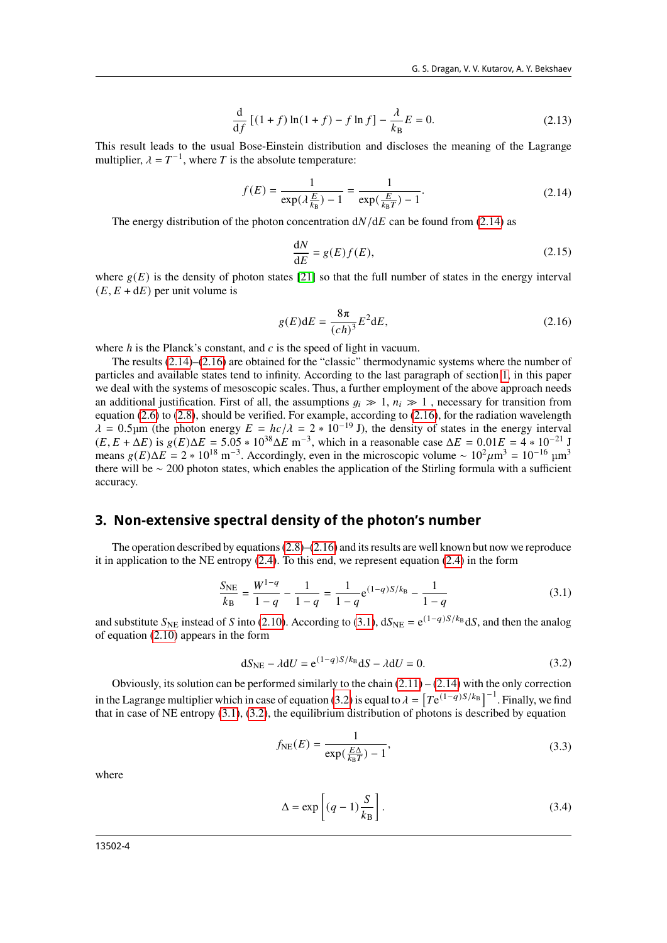$$
\frac{d}{df} [(1+f)\ln(1+f) - f\ln f] - \frac{\lambda}{k_B} E = 0.
$$
 (2.13)

This result leads to the usual Bose-Einstein distribution and discloses the meaning of the Lagrange multiplier,  $\lambda = T^{-1}$ , where T is the absolute temperature:

<span id="page-3-0"></span>
$$
f(E) = \frac{1}{\exp(\lambda \frac{E}{k_B}) - 1} = \frac{1}{\exp(\frac{E}{k_B T}) - 1}.
$$
 (2.14)

The energy distribution of the photon concentration  $dN/dE$  can be found from [\(2.14\)](#page-3-0) as

<span id="page-3-6"></span>
$$
\frac{\text{d}N}{\text{d}E} = g(E)f(E),\tag{2.15}
$$

where  $g(E)$  is the density of photon states [\[21\]](#page-9-6) so that the full number of states in the energy interval  $(E, E + dE)$  per unit volume is

<span id="page-3-1"></span>
$$
g(E)dE = \frac{8\pi}{(ch)^3}E^2dE,
$$
\n(2.16)

where  $h$  is the Planck's constant, and  $c$  is the speed of light in vacuum.

The results [\(2.14\)](#page-3-0)–[\(2.16\)](#page-3-1) are obtained for the "classic" thermodynamic systems where the number of particles and available states tend to infinity. According to the last paragraph of section [1,](#page-0-0) in this paper we deal with the systems of mesoscopic scales. Thus, a further employment of the above approach needs an additional justification. First of all, the assumptions  $q_i \gg 1$ ,  $n_i \gg 1$ , necessary for transition from equation [\(2.6\)](#page-2-1) to [\(2.8\)](#page-2-4), should be verified. For example, according to [\(2.16\)](#page-3-1), for the radiation wavelength  $\lambda = 0.5$ µm (the photon energy  $E = hc/\lambda = 2 * 10^{-19}$  J), the density of states in the energy interval  $(E, E + \Delta E)$  is  $g(E) \Delta E = 5.05 * 10^{38} \Delta E$  m<sup>-3</sup>, which in a reasonable case  $\Delta E = 0.01 E = 4 * 10^{-21}$  J means  $g(E)\Delta E = 2 * 10^{18} \text{ m}^{-3}$ . Accordingly, even in the microscopic volume ~  $10^2 \mu \text{m}^3 = 10^{-16} \text{ }\mu \text{m}^3$ there will be ∼ 200 photon states, which enables the application of the Stirling formula with a sufficient accuracy.

#### **3. Non-extensive spectral density of the photon's number**

The operation described by equations  $(2.8)$ – $(2.16)$  and its results are well known but now we reproduce it in application to the NE entropy [\(2.4\)](#page-2-0). To this end, we represent equation [\(2.4\)](#page-2-0) in the form

<span id="page-3-2"></span>
$$
\frac{S_{\text{NE}}}{k_{\text{B}}} = \frac{W^{1-q}}{1-q} - \frac{1}{1-q} = \frac{1}{1-q} e^{(1-q)S/k_{\text{B}}} - \frac{1}{1-q}
$$
(3.1)

and substitute  $S_{NE}$  instead of S into [\(2.10\)](#page-2-5). According to [\(3.1\)](#page-3-2),  $dS_{NE} = e^{(1-q)S/k_B} dS$ , and then the analog of equation [\(2.10\)](#page-2-5) appears in the form

<span id="page-3-3"></span>
$$
dS_{NE} - \lambda dU = e^{(1-q)S/k_B} dS - \lambda dU = 0.
$$
 (3.2)

Obviously, its solution can be performed similarly to the chain  $(2.11) - (2.14)$  $(2.11) - (2.14)$  $(2.11) - (2.14)$  with the only correction in the Lagrange multiplier which in case of equation [\(3.2\)](#page-3-3) is equal to  $\lambda = [T e^{(1-q)S/k_B}]^{-1}$ . Finally, we find that in case of NE entropy [\(3.1\)](#page-3-2), [\(3.2\)](#page-3-3), the equilibrium distribution of photons is described by equation

<span id="page-3-4"></span>
$$
f_{\text{NE}}(E) = \frac{1}{\exp(\frac{E\Delta}{k_{\text{B}}T}) - 1},\tag{3.3}
$$

where

<span id="page-3-5"></span>
$$
\Delta = \exp\left[ (q-1) \frac{S}{k_B} \right].
$$
\n(3.4)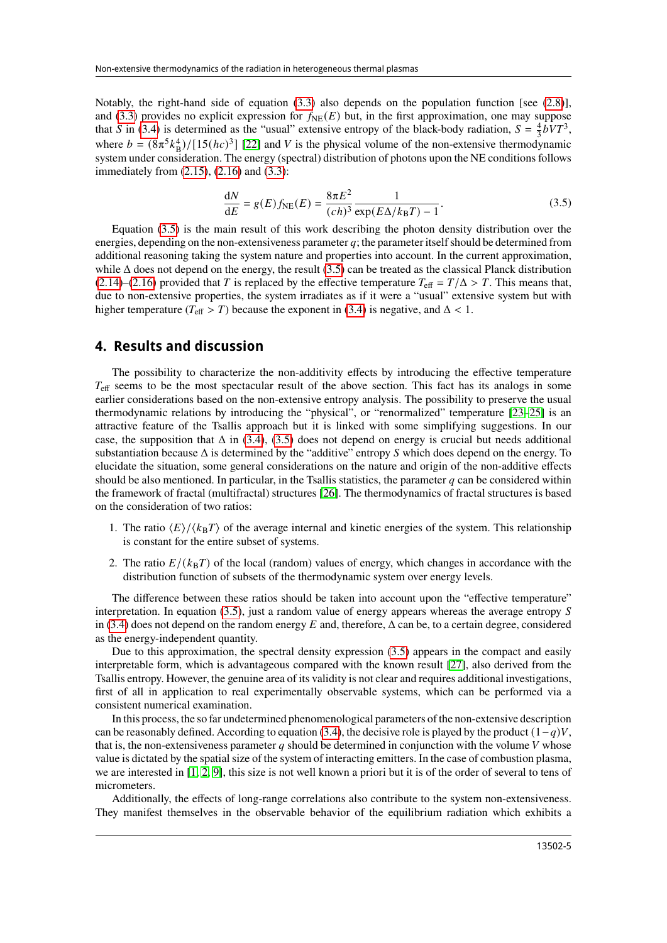Notably, the right-hand side of equation [\(3.3\)](#page-3-4) also depends on the population function [see [\(2.8\)](#page-2-4)], and [\(3.3\)](#page-3-4) provides no explicit expression for  $f_{NE}(E)$  but, in the first approximation, one may suppose that S in [\(3.4\)](#page-3-5) is determined as the "usual" extensive entropy of the black-body radiation,  $S = \frac{4}{3} bV T^3$ , where  $b = (8\pi^5 k_B^4)/[15(hc)^3]$  [\[22\]](#page-9-7) and V is the physical volume of the non-extensive thermodynamic system under consideration. The energy (spectral) distribution of photons upon the NE conditions follows immediately from [\(2.15\)](#page-3-6), [\(2.16\)](#page-3-1) and [\(3.3\)](#page-3-4):

<span id="page-4-0"></span>
$$
\frac{dN}{dE} = g(E)f_{NE}(E) = \frac{8\pi E^2}{(ch)^3} \frac{1}{\exp(E\Delta/k_B T) - 1}.
$$
\n(3.5)

Equation [\(3.5\)](#page-4-0) is the main result of this work describing the photon density distribution over the energies, depending on the non-extensiveness parameter  $q$ ; the parameter itself should be determined from additional reasoning taking the system nature and properties into account. In the current approximation, while  $\Delta$  does not depend on the energy, the result [\(3.5\)](#page-4-0) can be treated as the classical Planck distribution [\(2.14\)](#page-3-0)–[\(2.16\)](#page-3-1) provided that T is replaced by the effective temperature  $T_{\text{eff}} = T/\Delta > T$ . This means that, due to non-extensive properties, the system irradiates as if it were a "usual" extensive system but with higher temperature ( $T_{\text{eff}} > T$ ) because the exponent in [\(3.4\)](#page-3-5) is negative, and  $\Delta < 1$ .

### **4. Results and discussion**

The possibility to characterize the non-additivity effects by introducing the effective temperature  $T_{\text{eff}}$  seems to be the most spectacular result of the above section. This fact has its analogs in some earlier considerations based on the non-extensive entropy analysis. The possibility to preserve the usual thermodynamic relations by introducing the "physical", or "renormalized" temperature [\[23–](#page-9-8)[25\]](#page-9-9) is an attractive feature of the Tsallis approach but it is linked with some simplifying suggestions. In our case, the supposition that  $\Delta$  in [\(3.4\)](#page-3-5), [\(3.5\)](#page-4-0) does not depend on energy is crucial but needs additional substantiation because  $\Delta$  is determined by the "additive" entropy  $S$  which does depend on the energy. To elucidate the situation, some general considerations on the nature and origin of the non-additive effects should be also mentioned. In particular, in the Tsallis statistics, the parameter  $q$  can be considered within the framework of fractal (multifractal) structures [\[26\]](#page-9-10). The thermodynamics of fractal structures is based on the consideration of two ratios:

- 1. The ratio  $\langle E \rangle / \langle k_B T \rangle$  of the average internal and kinetic energies of the system. This relationship is constant for the entire subset of systems.
- 2. The ratio  $E/((k_B T))$  of the local (random) values of energy, which changes in accordance with the distribution function of subsets of the thermodynamic system over energy levels.

The difference between these ratios should be taken into account upon the "effective temperature" interpretation. In equation  $(3.5)$ , just a random value of energy appears whereas the average entropy S in [\(3.4\)](#page-3-5) does not depend on the random energy E and, therefore,  $\Delta$  can be, to a certain degree, considered as the energy-independent quantity.

Due to this approximation, the spectral density expression [\(3.5\)](#page-4-0) appears in the compact and easily interpretable form, which is advantageous compared with the known result [\[27\]](#page-9-11), also derived from the Tsallis entropy. However, the genuine area of its validity is not clear and requires additional investigations, first of all in application to real experimentally observable systems, which can be performed via a consistent numerical examination.

In this process, the so far undetermined phenomenological parameters of the non-extensive description can be reasonably defined. According to equation [\(3.4\)](#page-3-5), the decisive role is played by the product  $(1-q)V$ . that is, the non-extensiveness parameter q should be determined in conjunction with the volume  $V$  whose value is dictated by the spatial size of the system of interacting emitters. In the case of combustion plasma, we are interested in [\[1,](#page-8-1) [2,](#page-8-2) [9\]](#page-8-9), this size is not well known a priori but it is of the order of several to tens of micrometers.

Additionally, the effects of long-range correlations also contribute to the system non-extensiveness. They manifest themselves in the observable behavior of the equilibrium radiation which exhibits a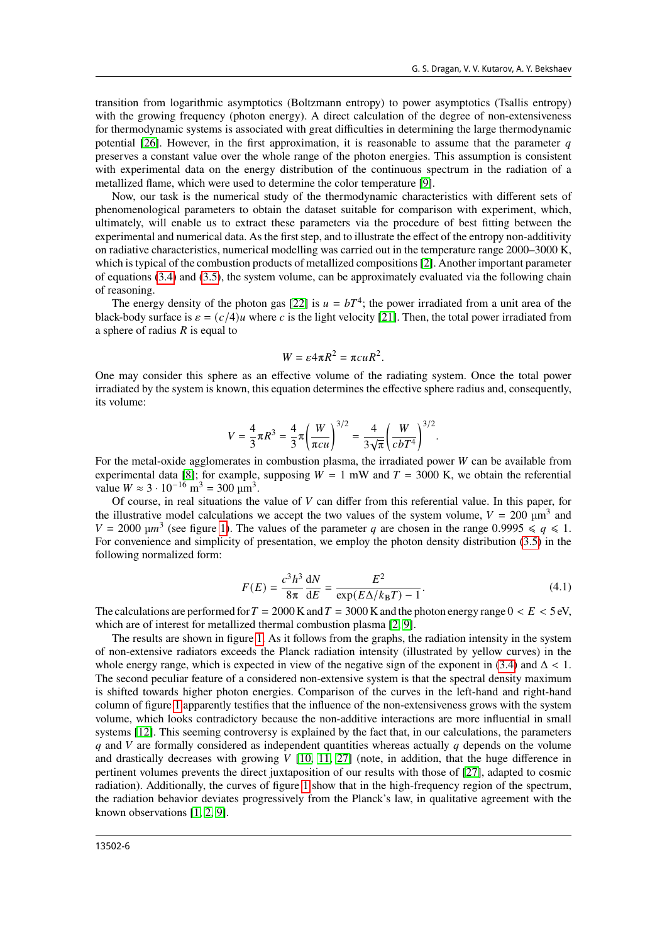transition from logarithmic asymptotics (Boltzmann entropy) to power asymptotics (Tsallis entropy) with the growing frequency (photon energy). A direct calculation of the degree of non-extensiveness for thermodynamic systems is associated with great difficulties in determining the large thermodynamic potential  $[26]$ . However, in the first approximation, it is reasonable to assume that the parameter q preserves a constant value over the whole range of the photon energies. This assumption is consistent with experimental data on the energy distribution of the continuous spectrum in the radiation of a metallized flame, which were used to determine the color temperature [\[9\]](#page-8-9).

Now, our task is the numerical study of the thermodynamic characteristics with different sets of phenomenological parameters to obtain the dataset suitable for comparison with experiment, which, ultimately, will enable us to extract these parameters via the procedure of best fitting between the experimental and numerical data. As the first step, and to illustrate the effect of the entropy non-additivity on radiative characteristics, numerical modelling was carried out in the temperature range 2000–3000 K, which is typical of the combustion products of metallized compositions [\[2\]](#page-8-2). Another important parameter of equations [\(3.4\)](#page-3-5) and [\(3.5\)](#page-4-0), the system volume, can be approximately evaluated via the following chain of reasoning.

The energy density of the photon gas [\[22\]](#page-9-7) is  $u = bT<sup>4</sup>$ ; the power irradiated from a unit area of the black-body surface is  $\varepsilon = (c/4)u$  where c is the light velocity [\[21\]](#page-9-6). Then, the total power irradiated from a sphere of radius  $R$  is equal to

$$
W = \varepsilon 4\pi R^2 = \pi c u R^2.
$$

One may consider this sphere as an effective volume of the radiating system. Once the total power irradiated by the system is known, this equation determines the effective sphere radius and, consequently, its volume:

$$
V = \frac{4}{3}\pi R^3 = \frac{4}{3}\pi \left(\frac{W}{\pi c u}\right)^{3/2} = \frac{4}{3\sqrt{\pi}} \left(\frac{W}{c b T^4}\right)^{3/2}.
$$

For the metal-oxide agglomerates in combustion plasma, the irradiated power  $W$  can be available from experimental data [\[8\]](#page-8-8); for example, supposing  $W = 1$  mW and  $T = 3000$  K, we obtain the referential value  $W \approx 3 \cdot 10^{-16}$  m<sup>3</sup> = 300 µm<sup>3</sup>.

Of course, in real situations the value of  $V$  can differ from this referential value. In this paper, for the illustrative model calculations we accept the two values of the system volume,  $V = 200 \text{ }\mu\text{m}^3$  and  $V = 2000 \text{ }\mu\text{m}^3$  (see figure [1\)](#page-6-0). The values of the parameter q are chosen in the range 0.9995  $\leq q \leq 1$ . For convenience and simplicity of presentation, we employ the photon density distribution [\(3.5\)](#page-4-0) in the following normalized form:

<span id="page-5-0"></span>
$$
F(E) = \frac{c^3 h^3}{8\pi} \frac{dN}{dE} = \frac{E^2}{\exp(E\Delta/k_B T) - 1}.
$$
 (4.1)

The calculations are performed for  $T = 2000$  K and  $T = 3000$  K and the photon energy range  $0 < E < 5$  eV, which are of interest for metallized thermal combustion plasma [\[2,](#page-8-2) [9\]](#page-8-9).

The results are shown in figure [1.](#page-6-0) As it follows from the graphs, the radiation intensity in the system of non-extensive radiators exceeds the Planck radiation intensity (illustrated by yellow curves) in the whole energy range, which is expected in view of the negative sign of the exponent in [\(3.4\)](#page-3-5) and  $\Delta$  < 1. The second peculiar feature of a considered non-extensive system is that the spectral density maximum is shifted towards higher photon energies. Comparison of the curves in the left-hand and right-hand column of figure [1](#page-6-0) apparently testifies that the influence of the non-extensiveness grows with the system volume, which looks contradictory because the non-additive interactions are more influential in small systems [\[12\]](#page-8-12). This seeming controversy is explained by the fact that, in our calculations, the parameters  $q$  and V are formally considered as independent quantities whereas actually  $q$  depends on the volume and drastically decreases with growing  $V$  [\[10,](#page-8-10) [11,](#page-8-11) [27\]](#page-9-11) (note, in addition, that the huge difference in pertinent volumes prevents the direct juxtaposition of our results with those of [\[27\]](#page-9-11), adapted to cosmic radiation). Additionally, the curves of figure [1](#page-6-0) show that in the high-frequency region of the spectrum, the radiation behavior deviates progressively from the Planck's law, in qualitative agreement with the known observations [\[1,](#page-8-1) [2,](#page-8-2) [9\]](#page-8-9).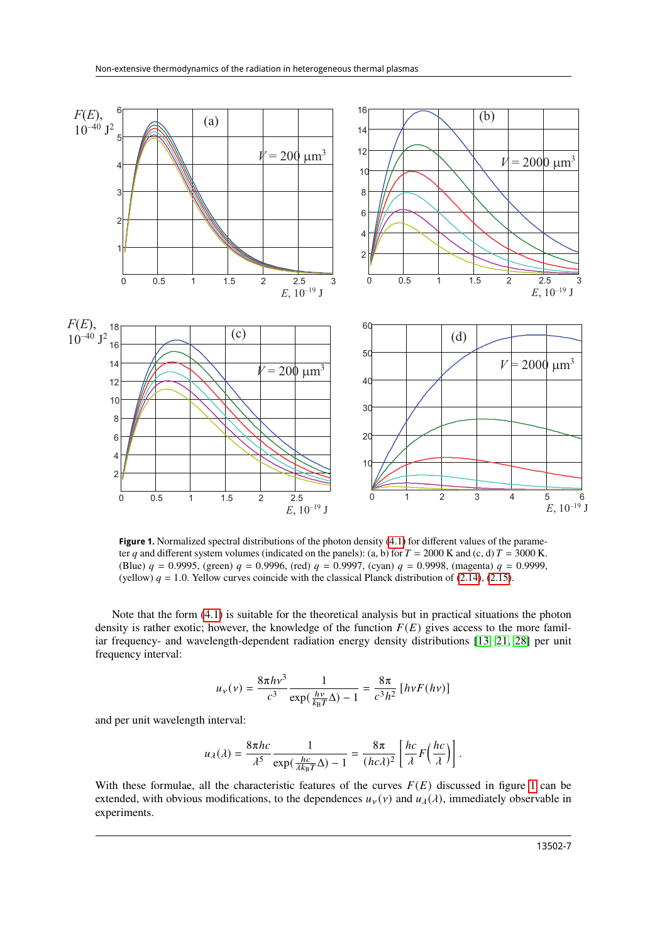

<span id="page-6-0"></span>ter q and different system volumes (indicated on the panels): (a, b) for  $T = 2000$  K and (c, d)  $T = 3000$  K. (Blue)  $q = 0.9995$ , (green)  $q = 0.9996$ , (rea)  $q = 0.9997$ , (cyan)  $q = 0.9996$ , (magenta)  $q = 0.9999$ , (yellow)  $q = 1.0$ . Yellow curves coincide with the classical Planck distribution of [\(2.14\)](#page-3-0), [\(2.15\)](#page-3-6). Figure 1. Normalized spectral distributions of the photon density [\(4.1\)](#page-5-0) for different values of the parame-(Blue)  $q = 0.9995$ , (green)  $q = 0.9996$ , (red)  $q = 0.9997$ , (cyan)  $q = 0.9998$ , (magenta)  $q = 0.9999$ ,

Note that the form  $(4.1)$  is suitable for the theoretical analysis but in practical situations the photon density is rather exotic; however, the knowledge of the function  $F(E)$  gives access to the more famil- $\Omega$  and  $\Omega$  and  $\Omega$  and  $\Omega$  and  $\Omega$  and  $\Omega$  and  $\Omega$  and  $\Omega$  and  $\Omega$  and  $\Omega$  and  $\Omega$  and  $\Omega$  and  $\Omega$  and  $\Omega$  and  $\Omega$  and  $\Omega$  and  $\Omega$  and  $\Omega$  and  $\Omega$  and  $\Omega$  and  $\Omega$  and  $\Omega$  and  $\Omega$  and  $\Omega$  and  $\Omega$  iar frequency- and wavelength-dependent radiation energy density distributions [\[13,](#page-8-13) [21,](#page-9-6) [28\]](#page-9-12) per unit frequency interval:

$$
u_{\nu}(\nu) = \frac{8\pi h\nu^3}{c^3} \frac{1}{\exp(\frac{h\nu}{k_B T}\Delta) - 1} = \frac{8\pi}{c^3 h^2} \left[ h\nu F(h\nu) \right]
$$

and per unit wavelength interval:

$$
u_{\lambda}(\lambda) = \frac{8\pi hc}{\lambda^5} \frac{1}{\exp(\frac{hc}{\lambda k_B T}\Delta) - 1} = \frac{8\pi}{(hc\lambda)^2} \left[ \frac{hc}{\lambda} F\left(\frac{hc}{\lambda}\right) \right].
$$

extended, with obvious modifications, to the dependences  $u_y(y)$  and  $u_\lambda(\lambda)$ , immediately observable in experiments. With these formulae, all the characteristic features of the curves  $F(E)$  discussed in figure [1](#page-6-0) can be experiments.

PD[

*F E*

 $\overline{\phantom{a}}$ 

ī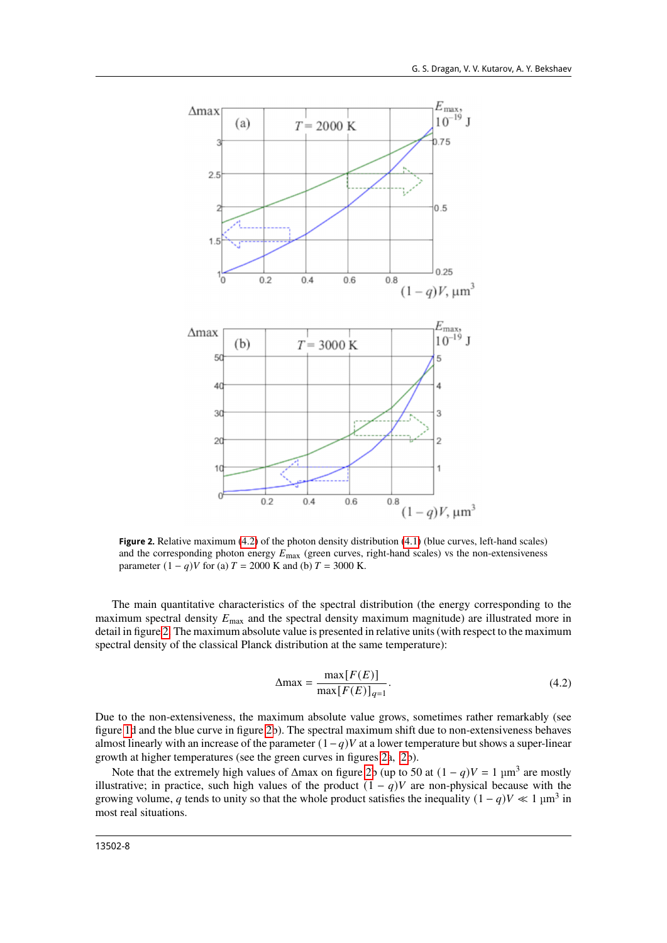

<span id="page-7-1"></span>**Figure 2.** Relative maximum [\(4.2\)](#page-7-0) of the photon density distribution [\(4.1\)](#page-5-0) (blue curves, left-hand scales) and the corresponding photon energy  $E_{\text{max}}$  (green curves, right-hand scales) vs the non-extensiveness parameter  $(1 - q)V$  for (a)  $T = 2000$  K and (b)  $T = 3000$  K.

The main quantitative characteristics of the spectral distribution (the energy corresponding to the maximum spectral density  $E_{\text{max}}$  and the spectral density maximum magnitude) are illustrated more in detail in figure [2.](#page-7-1) The maximum absolute value is presented in relative units (with respect to the maximum spectral density of the classical Planck distribution at the same temperature):

<span id="page-7-0"></span>
$$
\Delta \max = \frac{\max[F(E)]}{\max[F(E)]_{q=1}}.
$$
\n(4.2)

Due to the non-extensiveness, the maximum absolute value grows, sometimes rather remarkably (see figure [1d](#page-6-0) and the blue curve in figure [2b](#page-7-1)). The spectral maximum shift due to non-extensiveness behaves almost linearly with an increase of the parameter  $(1-q)V$  at a lower temperature but shows a super-linear growth at higher temperatures (see the green curves in figures [2a](#page-7-1), [2b](#page-7-1)).

Note that the extremely high values of  $\Delta$ max on figure [2b](#page-7-1) (up to 50 at  $(1 - q)V = 1$  µm<sup>3</sup> are mostly illustrative; in practice, such high values of the product  $(1 - q)V$  are non-physical because with the growing volume, q tends to unity so that the whole product satisfies the inequality  $(1 - q)V \ll 1$  µm<sup>3</sup> in most real situations.

13502-8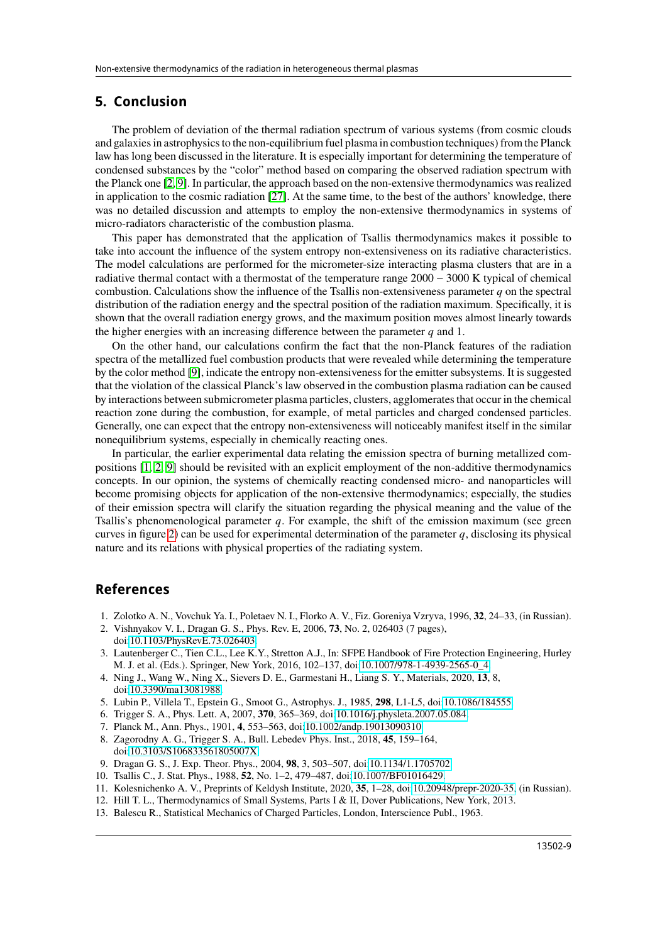#### **5. Conclusion**

The problem of deviation of the thermal radiation spectrum of various systems (from cosmic clouds and galaxies in astrophysics to the non-equilibrium fuel plasma in combustion techniques) from the Planck law has long been discussed in the literature. It is especially important for determining the temperature of condensed substances by the "color" method based on comparing the observed radiation spectrum with the Planck one [\[2,](#page-8-2) [9\]](#page-8-9). In particular, the approach based on the non-extensive thermodynamics was realized in application to the cosmic radiation [\[27\]](#page-9-11). At the same time, to the best of the authors' knowledge, there was no detailed discussion and attempts to employ the non-extensive thermodynamics in systems of micro-radiators characteristic of the combustion plasma.

This paper has demonstrated that the application of Tsallis thermodynamics makes it possible to take into account the influence of the system entropy non-extensiveness on its radiative characteristics. The model calculations are performed for the micrometer-size interacting plasma clusters that are in a radiative thermal contact with a thermostat of the temperature range 2000 − 3000 K typical of chemical combustion. Calculations show the influence of the Tsallis non-extensiveness parameter  $q$  on the spectral distribution of the radiation energy and the spectral position of the radiation maximum. Specifically, it is shown that the overall radiation energy grows, and the maximum position moves almost linearly towards the higher energies with an increasing difference between the parameter  $q$  and 1.

On the other hand, our calculations confirm the fact that the non-Planck features of the radiation spectra of the metallized fuel combustion products that were revealed while determining the temperature by the color method [\[9\]](#page-8-9), indicate the entropy non-extensiveness for the emitter subsystems. It is suggested that the violation of the classical Planck's law observed in the combustion plasma radiation can be caused by interactions between submicrometer plasma particles, clusters, agglomerates that occur in the chemical reaction zone during the combustion, for example, of metal particles and charged condensed particles. Generally, one can expect that the entropy non-extensiveness will noticeably manifest itself in the similar nonequilibrium systems, especially in chemically reacting ones.

In particular, the earlier experimental data relating the emission spectra of burning metallized compositions [\[1,](#page-8-1) [2,](#page-8-2) [9\]](#page-8-9) should be revisited with an explicit employment of the non-additive thermodynamics concepts. In our opinion, the systems of chemically reacting condensed micro- and nanoparticles will become promising objects for application of the non-extensive thermodynamics; especially, the studies of their emission spectra will clarify the situation regarding the physical meaning and the value of the Tsallis's phenomenological parameter  $q$ . For example, the shift of the emission maximum (see green curves in figure [2\)](#page-7-1) can be used for experimental determination of the parameter q, disclosing its physical nature and its relations with physical properties of the radiating system.

#### <span id="page-8-0"></span>**References**

- <span id="page-8-1"></span>1. Zolotko A. N., Vovchuk Ya. I., Poletaev N. I., Florko A. V., Fiz. Goreniya Vzryva, 1996, **32**, 24–33, (in Russian).
- <span id="page-8-2"></span>2. Vishnyakov V. I., Dragan G. S., Phys. Rev. E, 2006, **73**, No. 2, 026403 (7 pages), doi[:10.1103/PhysRevE.73.026403.](https://doi.org/10.1103/PhysRevE.73.026403)
- <span id="page-8-3"></span>3. Lautenberger C., Tien C.L., Lee K.Y., Stretton A.J., In: SFPE Handbook of Fire Protection Engineering, Hurley M. J. et al. (Eds.). Springer, New York, 2016, 102–137, doi[:10.1007/978-1-4939-2565-0\\_4.](https://doi.org/10.1007/978-1-4939-2565-0_4)
- <span id="page-8-4"></span>4. Ning J., Wang W., Ning X., Sievers D. E., Garmestani H., Liang S. Y., Materials, 2020, **13**, 8, doi[:10.3390/ma13081988.](https://doi.org/10.3390/ma13081988)
- <span id="page-8-5"></span>5. Lubin P., Villela T., Epstein G., Smoot G., Astrophys. J., 1985, **298**, L1-L5, doi[:10.1086/184555.](https://doi.org/10.1086/184555)
- <span id="page-8-6"></span>6. Trigger S. A., Phys. Lett. A, 2007, **370**, 365–369, doi[:10.1016/j.physleta.2007.05.084.](https://doi.org/10.1016/j.physleta.2007.05.084)
- <span id="page-8-7"></span>7. Planck M., Ann. Phys., 1901, **4**, 553–563, doi[:10.1002/andp.19013090310.](https://doi.org/10.1002/andp.19013090310)
- <span id="page-8-8"></span>8. Zagorodny A. G., Trigger S. A., Bull. Lebedev Phys. Inst., 2018, **45**, 159–164, doi[:10.3103/S106833561805007X.](https://doi.org/10.3103/S106833561805007X)
- <span id="page-8-9"></span>9. Dragan G. S., J. Exp. Theor. Phys., 2004, **98**, 3, 503–507, doi[:10.1134/1.1705702.](https://doi.org/10.1134/1.1705702)
- <span id="page-8-10"></span>10. Tsallis C., J. Stat. Phys., 1988, **52**, No. 1–2, 479–487, doi[:10.1007/BF01016429.](https://doi.org/10.1007/BF01016429)
- <span id="page-8-11"></span>11. Kolesnichenko A. V., Preprints of Keldysh Institute, 2020, **35**, 1–28, doi[:10.20948/prepr-2020-35,](https://doi.org/10.20948/prepr-2020-35) (in Russian).
- <span id="page-8-12"></span>12. Hill T. L., Thermodynamics of Small Systems, Parts I & II, Dover Publications, New York, 2013.
- <span id="page-8-13"></span>13. Balescu R., Statistical Mechanics of Charged Particles, London, Interscience Publ., 1963.